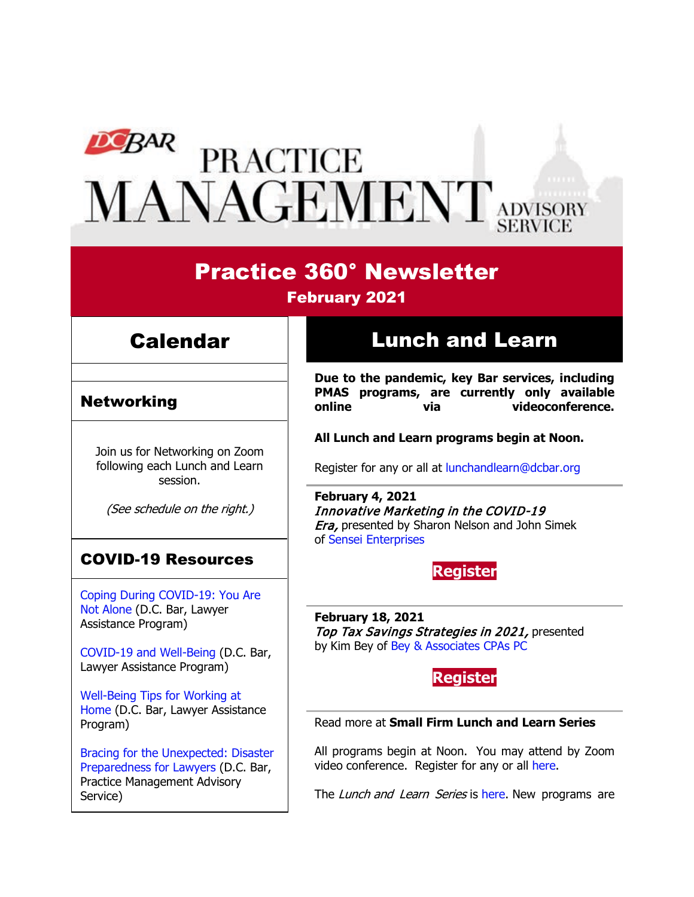# **PEAR PRACTICE<br>MANAGEMENT** ADVISORY

# Practice 360° Newsletter

## February 2021

## Calendar

## Networking

Join us for Networking on Zoom following each Lunch and Learn session.

(See schedule on the right.)

## COVID-19 Resources

[Coping During COVID-19: You Are](https://www.dcbar.org/news-events/news/coping-during-covid-19-you-are-not-alone?utm_source=Real%20Magnet&utm_medium=INSERT_CHANNEL&utm_campaign=INSERT_LINK_ID)  [Not Alone](https://www.dcbar.org/news-events/news/coping-during-covid-19-you-are-not-alone?utm_source=Real%20Magnet&utm_medium=INSERT_CHANNEL&utm_campaign=INSERT_LINK_ID) (D.C. Bar, Lawyer Assistance Program)

[COVID-19 and Well-Being](https://dcbarcms-uat3.i3digital.com/DCBar/i3Base/DCBar/For%20Lawyers/Lawyer%20Assistance%20Program/PDFs/covid-19-and-well-being.pdf) (D.C. Bar, Lawyer Assistance Program)

[Well-Being Tips for Working at](https://dcbarcms-uat3.i3digital.com/DCBar/i3Base/DCBar/For%20Lawyers/Lawyer%20Assistance%20Program/PDFs/Wellness-Tips-Working-From-Home.pdf)  [Home](https://dcbarcms-uat3.i3digital.com/DCBar/i3Base/DCBar/For%20Lawyers/Lawyer%20Assistance%20Program/PDFs/Wellness-Tips-Working-From-Home.pdf) (D.C. Bar, Lawyer Assistance Program)

[Bracing for the Unexpected: Disaster](https://www.dcbar.org/news-events/news/bracing-for-the-unexpected-disaster-preparedness-f?utm_source=Real%20Magnet&utm_medium=INSERT_CHANNEL&utm_campaign=INSERT_LINK_ID)  [Preparedness for Lawyers](https://www.dcbar.org/news-events/news/bracing-for-the-unexpected-disaster-preparedness-f?utm_source=Real%20Magnet&utm_medium=INSERT_CHANNEL&utm_campaign=INSERT_LINK_ID) (D.C. Bar, Practice Management Advisory Service)

# Lunch and Learn

**Due to the pandemic, key Bar services, including PMAS programs, are currently only available**  via videoconference.

#### **All Lunch and Learn programs begin at Noon.**

Register for any or all at [lunchandlearn@dcbar.org](mailto:lunchandlearn@dcbar.org?subject=Lunch%20and%20Learn)

**February 4, 2021** Innovative Marketing in the COVID-19 **Era, presented by Sharon Nelson and John Simek** of [Sensei Enterprises](https://senseient.com/)

**Register**

**February 18, 2021** Top Tax Savings Strategies in 2021, presented by Kim Bey of [Bey & Associates CPAs PC](https://kimbeycpa.com/)



#### Read more at **[Small Firm Lunch](https://www.dcbar.org/for-lawyers/practice-management-advisory-service/courses-and-trainings/small-firm-lunch-and-learn-series?utm_source=Real%20Magnet&utm_medium=INSERT_CHANNEL&utm_campaign=INSERT_LINK_ID) and Learn Series**

All programs begin at Noon. You may attend by Zoom video conference. Register for any or all [here.](https://www.dcbar.org/for-lawyers/practice-management-advisory-service/courses-and-trainings/small-firm-lunch-and-learn-series?utm_source=Real%20Magnet&utm_medium=INSERT_CHANNEL&utm_campaign=INSERT_LINK_ID)

The Lunch and Learn Series is [here.](https://www.dcbar.org/for-lawyers/practice-management-advisory-service/courses-and-trainings/small-firm-lunch-and-learn-series?utm_source=Real%20Magnet&utm_medium=INSERT_CHANNEL&utm_campaign=INSERT_LINK_ID) New programs are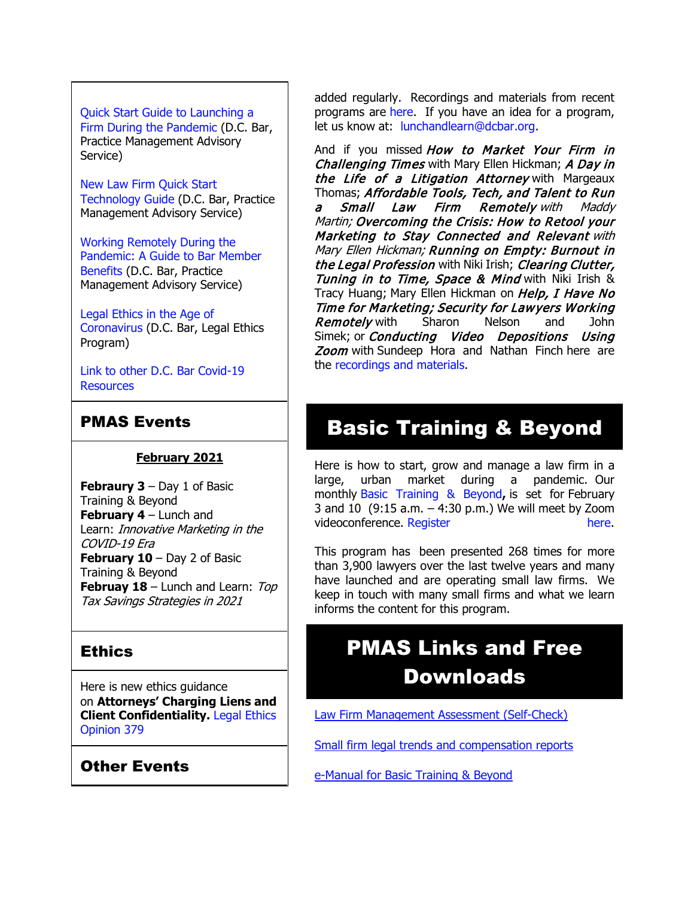## [Quick Start Guide to Launching a](https://www.dcbar.org/getmedia/d28b7c4b-3dcb-419e-828d-fdc2340588f9/Career-disruption-setting-up-a-law-firm-quickly-resources?utm_source=Real%20Magnet&utm_medium=INSERT_CHANNEL&utm_campaign=INSERT_LINK_ID)

[Firm During the Pandemic](https://www.dcbar.org/getmedia/d28b7c4b-3dcb-419e-828d-fdc2340588f9/Career-disruption-setting-up-a-law-firm-quickly-resources?utm_source=Real%20Magnet&utm_medium=INSERT_CHANNEL&utm_campaign=INSERT_LINK_ID) (D.C. Bar, Practice Management Advisory Service)

[New Law Firm Quick Start](https://www.dcbar.org/getmedia/34a3addd-9a13-4fc7-8e68-fbc2be8b50e0/Quick-start-Tech-Guide-final?utm_source=Real%20Magnet&utm_medium=INSERT_CHANNEL&utm_campaign=INSERT_LINK_ID)  [Technology Guide](https://www.dcbar.org/getmedia/34a3addd-9a13-4fc7-8e68-fbc2be8b50e0/Quick-start-Tech-Guide-final?utm_source=Real%20Magnet&utm_medium=INSERT_CHANNEL&utm_campaign=INSERT_LINK_ID) (D.C. Bar, Practice Management Advisory Service)

[Working Remotely During the](https://www.dcbar.org/news-events/news/working-remotely-during-the-pandemic-a-guide-to-ba?utm_source=Real%20Magnet&utm_medium=INSERT_CHANNEL&utm_campaign=INSERT_LINK_ID)  [Pandemic: A Guide to Bar Member](https://www.dcbar.org/news-events/news/working-remotely-during-the-pandemic-a-guide-to-ba?utm_source=Real%20Magnet&utm_medium=INSERT_CHANNEL&utm_campaign=INSERT_LINK_ID)  [Benefits](https://www.dcbar.org/news-events/news/working-remotely-during-the-pandemic-a-guide-to-ba?utm_source=Real%20Magnet&utm_medium=INSERT_CHANNEL&utm_campaign=INSERT_LINK_ID) (D.C. Bar, Practice Management Advisory Service)

[Legal Ethics in the Age of](https://www.dcbar.org/news-events/news/legal-ethics-in-the-age-of-the-coronavirus?utm_source=Real%20Magnet&utm_medium=INSERT_CHANNEL&utm_campaign=INSERT_LINK_ID)  [Coronavirus](https://www.dcbar.org/news-events/news/legal-ethics-in-the-age-of-the-coronavirus?utm_source=Real%20Magnet&utm_medium=INSERT_CHANNEL&utm_campaign=INSERT_LINK_ID) (D.C. Bar, Legal Ethics Program)

[Link to other D.C. Bar Covid-19](https://www.dcbar.org/for-lawyers/membership/covid-19-resources?utm_source=Real%20Magnet&utm_medium=INSERT_CHANNEL&utm_campaign=INSERT_LINK_ID)  **[Resources](https://www.dcbar.org/for-lawyers/membership/covid-19-resources?utm_source=Real%20Magnet&utm_medium=INSERT_CHANNEL&utm_campaign=INSERT_LINK_ID)** 

## PMAS Events

#### **February 2021**

**Febraury 3** – Day 1 of Basic Training & Beyond **February 4** – Lunch and Learn: Innovative Marketing in the COVID-19 Era **February 10** – Day 2 of Basic Training & Beyond **Februay 18** – Lunch and Learn: Top Tax Savings Strategies in 2021

## **Ethics**

Here is new ethics guidance on **Attorneys' Charging Liens and Client Confidentiality.** [Legal Ethics](https://www.dcbar.org/for-lawyers/legal-ethics/ethics-opinions-(1)?utm_source=Real%20Magnet&utm_medium=INSERT_CHANNEL&utm_campaign=INSERT_LINK_ID)  [Opinion 379](https://www.dcbar.org/for-lawyers/legal-ethics/ethics-opinions-(1)?utm_source=Real%20Magnet&utm_medium=INSERT_CHANNEL&utm_campaign=INSERT_LINK_ID)

## Other Events

added regularly. Recordings and materials from recent programs are [here.](https://www.dcbar.org/for-lawyers/practice-management-advisory-service/courses-and-trainings/small-firm-lunch-and-learn-series/past-lunch-and-learn-programs?utm_source=Real%20Magnet&utm_medium=INSERT_CHANNEL&utm_campaign=INSERT_LINK_ID) If you have an idea for a program, let us know at: [lunchandlearn@dcbar.org.](mailto:lunchandlearn@dcbar.org)

And if you missed How to Market Your Firm in Challenging Times with Mary Ellen Hickman; A Day in the Life of a Litigation Attorney with Margeaux Thomas; Affordable Tools, Tech, and Talent to Run<br>a Small Law Firm Remotely with Maddy Remotely with Maddy Martin; Overcoming the Crisis: How to Retool your Marketing to Stay Connected and Relevant with Mary Ellen Hickman; Running on Empty: Burnout in the Legal Profession with Niki Irish; Clearing Clutter, Tuning in to Time, Space & Mind with Niki Irish & Tracy Huang; Mary Ellen Hickman on Help, I Have No Time for Marketing; Security for Lawyers Working **Remotely** with Sharon Nelson and John Simek; or *Conducting Video Depositions Using* Zoom with Sundeep Hora and Nathan Finch here are the [recordings and materials.](https://www.dcbar.org/for-lawyers/practice-management-advisory-service/courses-and-trainings/small-firm-lunch-and-learn-series/past-lunch-and-learn-programs?utm_source=Real%20Magnet&utm_medium=INSERT_CHANNEL&utm_campaign=INSERT_LINK_ID)

# Basic Training & Beyond

Here is how to start, grow and manage a law firm in a large, urban market during a pandemic. Our monthly [Basic Training & Beyond](http://www.mmsend31.com/link.cfm?r=zvkjaWqFFUTRz65Avl-Ftw%7E%7E&pe=c3ph7NU-Re1l6uj-xoZC_Nqnf2HGTrpIRRfl_qZmlgZN_I06rShTZ-AlGs0Wp7CGgKUozsdU2izsioLhmXaRbg%7E%7E&t=prXb-jowJMuBRf73r4YKRA%7E%7E)**,** is set for February 3 and 10 (9:15 a.m. – 4:30 p.m.) We will meet by Zoom videoconference. [Register here.](http://www.mmsend31.com/link.cfm?r=zvkjaWqFFUTRz65Avl-Ftw%7E%7E&pe=BxjSlIjTK_3i3Os02s37pODjnSEaSaIBfLm0UarKy-K07-G29KY0F7SoVNdKQgSYIVrXVvuyFBcMiPY5X35JOA%7E%7E&t=prXb-jowJMuBRf73r4YKRA%7E%7E)

This program has been presented 268 times for more than 3,900 lawyers over the last twelve years and many have launched and are operating small law firms. We keep in touch with many small firms and what we learn informs the content for this program.

# PMAS Links and Free Downloads

[Law Firm Management Assessment \(Self-Check\)](https://www.dcbar.org/for-lawyers/practice-management-advisory-service/practice-tips-and-compliance/self-check?utm_source=Real%20Magnet&utm_medium=INSERT_CHANNEL&utm_campaign=INSERT_LINK_ID)

[Small firm legal trends and compensation reports](https://www.dcbar.org/for-lawyers/practice-management-advisory-service/courses-and-trainings/basic-training-beyond/basic-training-beyond-supplements?utm_source=Real%20Magnet&utm_medium=INSERT_CHANNEL&utm_campaign=INSERT_LINK_ID)

[e-Manual for Basic Training & Beyond](https://documentcloud.adobe.com/link/review?uri=urn:aaid:scds:US:2182dc5f-4a8c-435d-bb76-280eddc57a6d)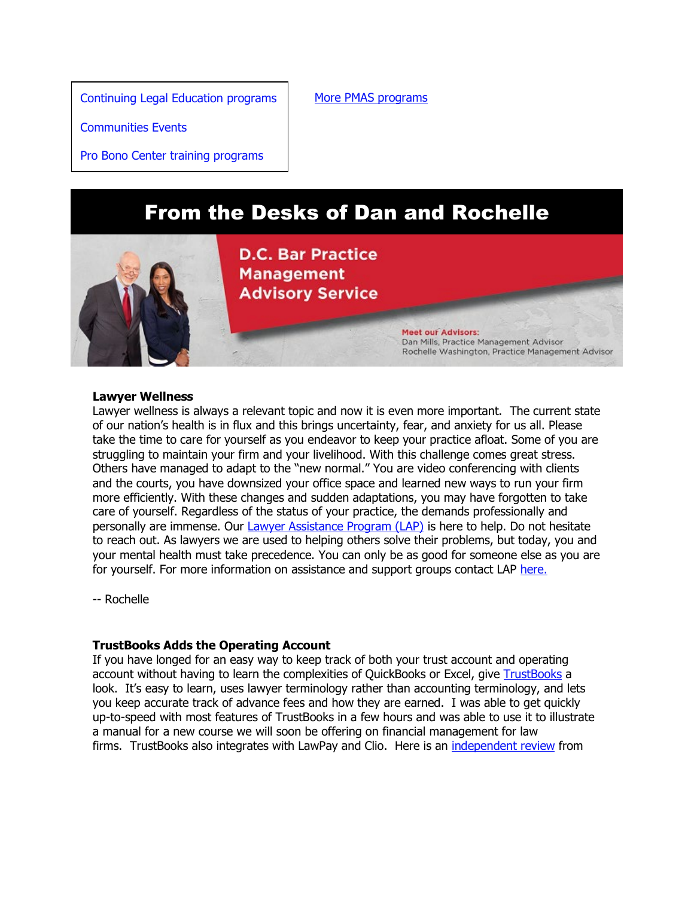[Continuing Legal Education programs](https://join.dcbar.org/eweb/DynamicPage.aspx?Site=DCBar&WebKey=cbe606bc-88d4-4d37-872c-f48d412a59e5&evt_etc_key=7aaf572d-f662-422f-9fe7-0ae3f4b705be&utm_source=Real%20Magnet&utm_medium=INSERT_CHANNEL&utm_campaign=INSERT_LINK_ID)

[More PMAS programs](https://www.dcbar.org/for-lawyers/practice-management-advisory-service/courses-and-trainings?utm_source=Real%20Magnet&utm_medium=INSERT_CHANNEL&utm_campaign=INSERT_LINK_ID)

[Communities Events](https://join.dcbar.org/eweb/DynamicPage.aspx?site=dcbar&webcode=EventList&utm_source=Real%20Magnet&utm_medium=INSERT_CHANNEL&utm_campaign=INSERT_LINK_ID)

[Pro Bono Center training programs](https://www.dcbar.org/pro-bono/resources-and-training/pro-bono-center-training-program?utm_source=Real%20Magnet&utm_medium=INSERT_CHANNEL&utm_campaign=INSERT_LINK_ID)

# From the Desks of Dan and Rochelle



**D.C. Bar Practice Management Advisory Service** 

> **Meet our Advisors:** Dan Mills, Practice Management Advisor Rochelle Washington, Practice Management Advisor

#### **Lawyer Wellness**

Lawyer wellness is always a relevant topic and now it is even more important. The current state of our nation's health is in flux and this brings uncertainty, fear, and anxiety for us all. Please take the time to care for yourself as you endeavor to keep your practice afloat. Some of you are struggling to maintain your firm and your livelihood. With this challenge comes great stress. Others have managed to adapt to the "new normal." You are video conferencing with clients and the courts, you have downsized your office space and learned new ways to run your firm more efficiently. With these changes and sudden adaptations, you may have forgotten to take care of yourself. Regardless of the status of your practice, the demands professionally and personally are immense. Our [Lawyer Assistance Program \(LAP\)](https://dcbar.org/for-lawyers/lawyer-assistance-program?utm_source=Real%20Magnet&utm_medium=INSERT_CHANNEL&utm_campaign=INSERT_LINK_ID) is here to help. Do not hesitate to reach out. As lawyers we are used to helping others solve their problems, but today, you and your mental health must take precedence. You can only be as good for someone else as you are for yourself. For more information on assistance and support groups contact LAP [here.](https://dcbar.org/for-lawyers/lawyer-assistance-program?utm_source=Real%20Magnet&utm_medium=INSERT_CHANNEL&utm_campaign=INSERT_LINK_ID)

-- Rochelle

#### **TrustBooks Adds the Operating Account**

If you have longed for an easy way to keep track of both your trust account and operating account without having to learn the complexities of QuickBooks or Excel, give [TrustBooks](https://trustbooks.com/) a look. It's easy to learn, uses lawyer terminology rather than accounting terminology, and lets you keep accurate track of advance fees and how they are earned. I was able to get quickly up-to-speed with most features of TrustBooks in a few hours and was able to use it to illustrate a manual for a new course we will soon be offering on financial management for law firms. TrustBooks also integrates with LawPay and Clio. Here is an [independent review](https://www.youtube.com/watch?v=OHPdyPEvkhk) from